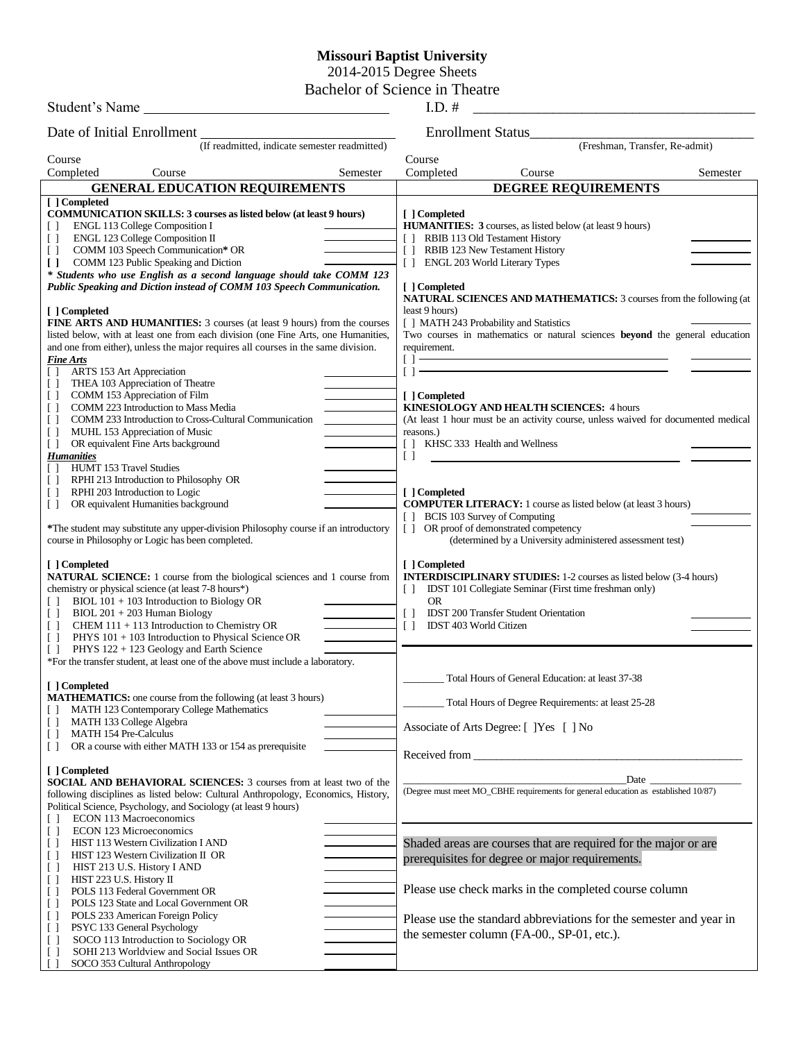## **Missouri Baptist University**

2014-2015 Degree Sheets

Bachelor of Science in Theatre

| Student's Name                                                                                                                                                       | $I.D.$ #                                                                                                                             |  |  |  |
|----------------------------------------------------------------------------------------------------------------------------------------------------------------------|--------------------------------------------------------------------------------------------------------------------------------------|--|--|--|
| Date of Initial Enrollment                                                                                                                                           | Enrollment Status_                                                                                                                   |  |  |  |
| (If readmitted, indicate semester readmitted)                                                                                                                        | (Freshman, Transfer, Re-admit)                                                                                                       |  |  |  |
| Course<br>Completed<br>Course<br>Semester                                                                                                                            | Course<br>Completed<br>Course<br>Semester                                                                                            |  |  |  |
| <b>GENERAL EDUCATION REQUIREMENTS</b>                                                                                                                                | <b>DEGREE REQUIREMENTS</b>                                                                                                           |  |  |  |
| [ ] Completed                                                                                                                                                        |                                                                                                                                      |  |  |  |
| <b>COMMUNICATION SKILLS: 3 courses as listed below (at least 9 hours)</b>                                                                                            | [ ] Completed                                                                                                                        |  |  |  |
| ENGL 113 College Composition I<br>ENGL 123 College Composition II<br>$\Box$                                                                                          | HUMANITIES: 3 courses, as listed below (at least 9 hours)<br>[] RBIB 113 Old Testament History                                       |  |  |  |
| COMM 103 Speech Communication* OR<br>$\Box$                                                                                                                          | RBIB 123 New Testament History<br>$\Box$                                                                                             |  |  |  |
| COMM 123 Public Speaking and Diction<br>$\Box$                                                                                                                       | [] ENGL 203 World Literary Types                                                                                                     |  |  |  |
| * Students who use English as a second language should take COMM 123<br>Public Speaking and Diction instead of COMM 103 Speech Communication.                        | [ ] Completed                                                                                                                        |  |  |  |
|                                                                                                                                                                      | NATURAL SCIENCES AND MATHEMATICS: 3 courses from the following (at                                                                   |  |  |  |
| [ ] Completed                                                                                                                                                        | least 9 hours)                                                                                                                       |  |  |  |
| <b>FINE ARTS AND HUMANITIES:</b> 3 courses (at least 9 hours) from the courses<br>listed below, with at least one from each division (one Fine Arts, one Humanities, | [ ] MATH 243 Probability and Statistics<br>Two courses in mathematics or natural sciences <b>beyond</b> the general education        |  |  |  |
| and one from either), unless the major requires all courses in the same division.                                                                                    | requirement.                                                                                                                         |  |  |  |
| <b>Fine Arts</b>                                                                                                                                                     | <u> 1989 - Johann Barn, mars ann an t-Amhain Aonaich an t-Aonaich an t-Aonaich an t-Aonaich an t-Aonaich an t-Aon</u><br>$[$ $]$ $-$ |  |  |  |
| ARTS 153 Art Appreciation<br>THEA 103 Appreciation of Theatre<br>$\Box$                                                                                              | $[1 -$                                                                                                                               |  |  |  |
| COMM 153 Appreciation of Film<br>U                                                                                                                                   | [ ] Completed                                                                                                                        |  |  |  |
| COMM 223 Introduction to Mass Media<br>$\Box$                                                                                                                        | <b>KINESIOLOGY AND HEALTH SCIENCES: 4 hours</b>                                                                                      |  |  |  |
| COMM 233 Introduction to Cross-Cultural Communication<br>$\Box$<br>MUHL 153 Appreciation of Music<br>$\Box$                                                          | (At least 1 hour must be an activity course, unless waived for documented medical<br>reasons.)                                       |  |  |  |
| OR equivalent Fine Arts background<br>$\Box$                                                                                                                         | [ ] KHSC 333 Health and Wellness                                                                                                     |  |  |  |
| <b>Humanities</b>                                                                                                                                                    | $\Box$                                                                                                                               |  |  |  |
| HUMT 153 Travel Studies<br>$\perp$<br>RPHI 213 Introduction to Philosophy OR<br>$\Box$                                                                               |                                                                                                                                      |  |  |  |
| RPHI 203 Introduction to Logic<br>$\Box$                                                                                                                             | [ ] Completed                                                                                                                        |  |  |  |
| OR equivalent Humanities background<br>$\Box$                                                                                                                        | <b>COMPUTER LITERACY:</b> 1 course as listed below (at least 3 hours)                                                                |  |  |  |
| *The student may substitute any upper-division Philosophy course if an introductory                                                                                  | [ ] BCIS 103 Survey of Computing<br>[] OR proof of demonstrated competency                                                           |  |  |  |
| course in Philosophy or Logic has been completed.                                                                                                                    | (determined by a University administered assessment test)                                                                            |  |  |  |
| [ ] Completed                                                                                                                                                        | [ ] Completed                                                                                                                        |  |  |  |
| <b>NATURAL SCIENCE:</b> 1 course from the biological sciences and 1 course from                                                                                      | <b>INTERDISCIPLINARY STUDIES:</b> 1-2 courses as listed below (3-4 hours)                                                            |  |  |  |
| chemistry or physical science (at least 7-8 hours*)                                                                                                                  | IDST 101 Collegiate Seminar (First time freshman only)<br>$\Box$                                                                     |  |  |  |
| BIOL 101 + 103 Introduction to Biology OR<br>$BIOL 201 + 203$ Human Biology<br>$\Box$                                                                                | <b>OR</b><br><b>IDST 200 Transfer Student Orientation</b><br>$\Box$                                                                  |  |  |  |
| CHEM 111 + 113 Introduction to Chemistry OR<br>$\Box$                                                                                                                | IDST 403 World Citizen<br>$\Box$                                                                                                     |  |  |  |
| PHYS 101 + 103 Introduction to Physical Science OR<br>$\Box$                                                                                                         |                                                                                                                                      |  |  |  |
| PHYS 122 + 123 Geology and Earth Science<br>*For the transfer student, at least one of the above must include a laboratory.                                          |                                                                                                                                      |  |  |  |
|                                                                                                                                                                      | Total Hours of General Education: at least 37-38                                                                                     |  |  |  |
| [ ] Completed                                                                                                                                                        |                                                                                                                                      |  |  |  |
| <b>MATHEMATICS:</b> one course from the following (at least 3 hours)<br>MATH 123 Contemporary College Mathematics                                                    | Total Hours of Degree Requirements: at least 25-28                                                                                   |  |  |  |
| MATH 133 College Algebra<br>$\Box$                                                                                                                                   | Associate of Arts Degree: [ ] Yes [ ] No                                                                                             |  |  |  |
| <b>MATH 154 Pre-Calculus</b><br>$\Box$<br>OR a course with either MATH 133 or 154 as prerequisite<br>$\Box$                                                          |                                                                                                                                      |  |  |  |
|                                                                                                                                                                      | Received from                                                                                                                        |  |  |  |
| [ ] Completed<br>SOCIAL AND BEHAVIORAL SCIENCES: 3 courses from at least two of the                                                                                  |                                                                                                                                      |  |  |  |
| following disciplines as listed below: Cultural Anthropology, Economics, History,                                                                                    | (Degree must meet MO_CBHE requirements for general education as established 10/87)                                                   |  |  |  |
| Political Science, Psychology, and Sociology (at least 9 hours)                                                                                                      |                                                                                                                                      |  |  |  |
| ECON 113 Macroeconomics<br>$\Box$<br>ECON 123 Microeconomics                                                                                                         |                                                                                                                                      |  |  |  |
| $\Box$<br>HIST 113 Western Civilization I AND<br>$\Box$                                                                                                              | Shaded areas are courses that are required for the major or are                                                                      |  |  |  |
| HIST 123 Western Civilization II OR<br>$\Box$                                                                                                                        | prerequisites for degree or major requirements.                                                                                      |  |  |  |
| HIST 213 U.S. History I AND<br>$\Box$                                                                                                                                |                                                                                                                                      |  |  |  |
| HIST 223 U.S. History II<br>$\Box$<br>POLS 113 Federal Government OR<br>$\Box$                                                                                       | Please use check marks in the completed course column                                                                                |  |  |  |
| POLS 123 State and Local Government OR<br>$\Box$                                                                                                                     |                                                                                                                                      |  |  |  |
| POLS 233 American Foreign Policy<br>U                                                                                                                                | Please use the standard abbreviations for the semester and year in                                                                   |  |  |  |
| PSYC 133 General Psychology<br>$\Box$<br>SOCO 113 Introduction to Sociology OR<br>U                                                                                  | the semester column (FA-00., SP-01, etc.).                                                                                           |  |  |  |
| SOHI 213 Worldview and Social Issues OR<br>$\Box$                                                                                                                    |                                                                                                                                      |  |  |  |
| SOCO 353 Cultural Anthropology<br>$\Box$                                                                                                                             |                                                                                                                                      |  |  |  |